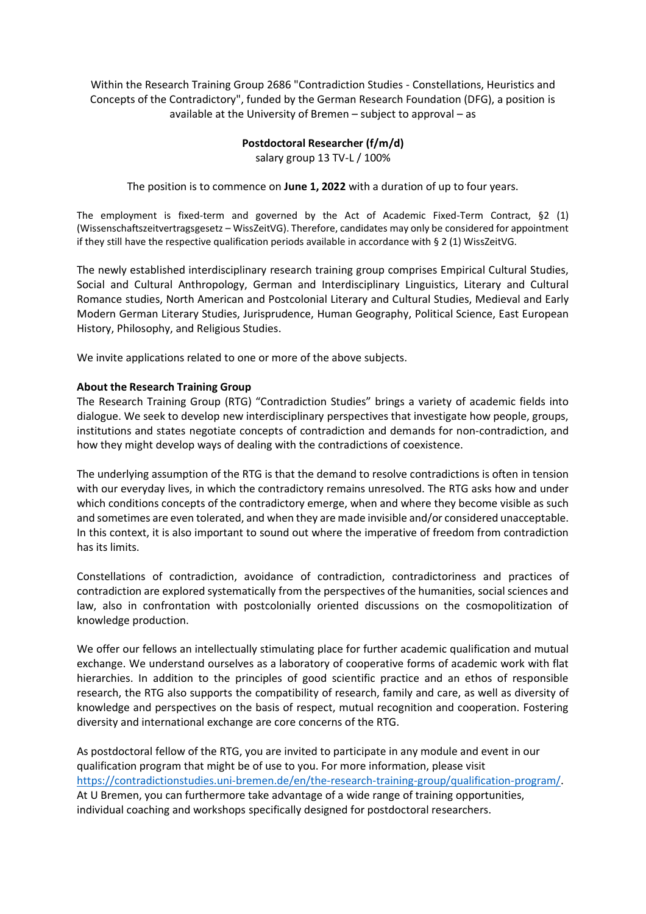Within the Research Training Group 2686 "Contradiction Studies - Constellations, Heuristics and Concepts of the Contradictory", funded by the German Research Foundation (DFG), a position is available at the University of Bremen – subject to approval – as

## **Postdoctoral Researcher (f/m/d)** salary group 13 TV-L / 100%

The position is to commence on **June 1, 2022** with a duration of up to four years.

The employment is fixed-term and governed by the Act of Academic Fixed-Term Contract, §2 (1) (Wissenschaftszeitvertragsgesetz – WissZeitVG). Therefore, candidates may only be considered for appointment if they still have the respective qualification periods available in accordance with § 2 (1) WissZeitVG.

The newly established interdisciplinary research training group comprises Empirical Cultural Studies, Social and Cultural Anthropology, German and Interdisciplinary Linguistics, Literary and Cultural Romance studies, North American and Postcolonial Literary and Cultural Studies, Medieval and Early Modern German Literary Studies, Jurisprudence, Human Geography, Political Science, East European History, Philosophy, and Religious Studies.

We invite applications related to one or more of the above subjects.

## **About the Research Training Group**

The Research Training Group (RTG) "Contradiction Studies" brings a variety of academic fields into dialogue. We seek to develop new interdisciplinary perspectives that investigate how people, groups, institutions and states negotiate concepts of contradiction and demands for non-contradiction, and how they might develop ways of dealing with the contradictions of coexistence.

The underlying assumption of the RTG is that the demand to resolve contradictions is often in tension with our everyday lives, in which the contradictory remains unresolved. The RTG asks how and under which conditions concepts of the contradictory emerge, when and where they become visible as such and sometimes are even tolerated, and when they are made invisible and/or considered unacceptable. In this context, it is also important to sound out where the imperative of freedom from contradiction has its limits.

Constellations of contradiction, avoidance of contradiction, contradictoriness and practices of contradiction are explored systematically from the perspectives of the humanities, social sciences and law, also in confrontation with postcolonially oriented discussions on the cosmopolitization of knowledge production.

We offer our fellows an intellectually stimulating place for further academic qualification and mutual exchange. We understand ourselves as a laboratory of cooperative forms of academic work with flat hierarchies. In addition to the principles of good scientific practice and an ethos of responsible research, the RTG also supports the compatibility of research, family and care, as well as diversity of knowledge and perspectives on the basis of respect, mutual recognition and cooperation. Fostering diversity and international exchange are core concerns of the RTG.

As postdoctoral fellow of the RTG, you are invited to participate in any module and event in our qualification program that might be of use to you. For more information, please visit [https://contradictionstudies.uni-bremen.de/en/the-research-training-group/qualification-program/.](https://contradictionstudies.uni-bremen.de/en/the-research-training-group/qualification-program/) At U Bremen, you can furthermore take advantage of a wide range of training opportunities, individual coaching and workshops specifically designed for postdoctoral researchers.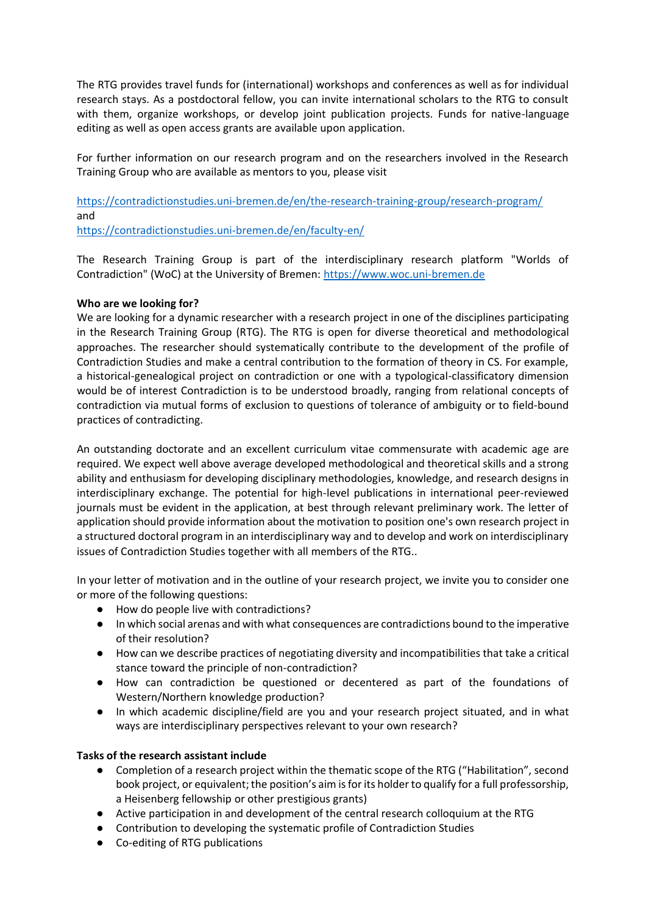The RTG provides travel funds for (international) workshops and conferences as well as for individual research stays. As a postdoctoral fellow, you can invite international scholars to the RTG to consult with them, organize workshops, or develop joint publication projects. Funds for native-language editing as well as open access grants are available upon application.

For further information on our research program and on the researchers involved in the Research Training Group who are available as mentors to you, please visit

<https://contradictionstudies.uni-bremen.de/en/the-research-training-group/research-program/> and

<https://contradictionstudies.uni-bremen.de/en/faculty-en/>

The Research Training Group is part of the interdisciplinary research platform "Worlds of Contradiction" (WoC) at the University of Bremen: [https://www.woc.uni-bremen.de](https://www.woc.uni-bremen.de/)

## **Who are we looking for?**

We are looking for a dynamic researcher with a research project in one of the disciplines participating in the Research Training Group (RTG). The RTG is open for diverse theoretical and methodological approaches. The researcher should systematically contribute to the development of the profile of Contradiction Studies and make a central contribution to the formation of theory in CS. For example, a historical-genealogical project on contradiction or one with a typological-classificatory dimension would be of interest Contradiction is to be understood broadly, ranging from relational concepts of contradiction via mutual forms of exclusion to questions of tolerance of ambiguity or to field-bound practices of contradicting.

An outstanding doctorate and an excellent curriculum vitae commensurate with academic age are required. We expect well above average developed methodological and theoretical skills and a strong ability and enthusiasm for developing disciplinary methodologies, knowledge, and research designs in interdisciplinary exchange. The potential for high-level publications in international peer-reviewed journals must be evident in the application, at best through relevant preliminary work. The letter of application should provide information about the motivation to position one's own research project in a structured doctoral program in an interdisciplinary way and to develop and work on interdisciplinary issues of Contradiction Studies together with all members of the RTG..

In your letter of motivation and in the outline of your research project, we invite you to consider one or more of the following questions:

- How do people live with contradictions?
- In which social arenas and with what consequences are contradictions bound to the imperative of their resolution?
- How can we describe practices of negotiating diversity and incompatibilities that take a critical stance toward the principle of non-contradiction?
- How can contradiction be questioned or decentered as part of the foundations of Western/Northern knowledge production?
- In which academic discipline/field are you and your research project situated, and in what ways are interdisciplinary perspectives relevant to your own research?

# **Tasks of the research assistant include**

- Completion of a research project within the thematic scope of the RTG ("Habilitation", second book project, or equivalent; the position's aim is for its holder to qualify for a full professorship, a Heisenberg fellowship or other prestigious grants)
- Active participation in and development of the central research colloquium at the RTG
- Contribution to developing the systematic profile of Contradiction Studies
- Co-editing of RTG publications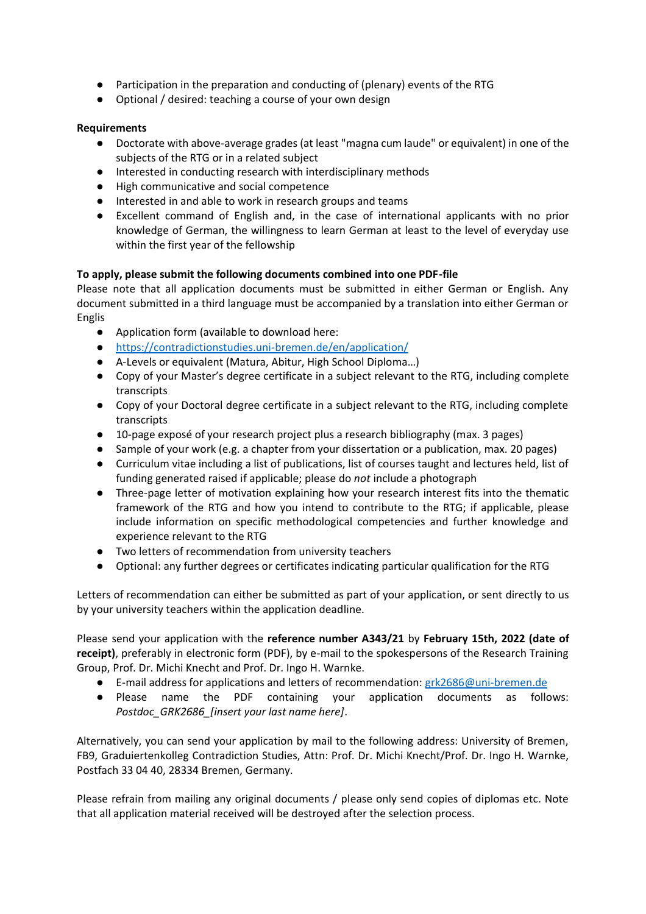- Participation in the preparation and conducting of (plenary) events of the RTG
- Optional / desired: teaching a course of your own design

### **Requirements**

- Doctorate with above-average grades (at least "magna cum laude" or equivalent) in one of the subjects of the RTG or in a related subject
- Interested in conducting research with interdisciplinary methods
- High communicative and social competence
- Interested in and able to work in research groups and teams
- Excellent command of English and, in the case of international applicants with no prior knowledge of German, the willingness to learn German at least to the level of everyday use within the first year of the fellowship

### **To apply, please submit the following documents combined into one PDF-file**

Please note that all application documents must be submitted in either German or English. Any document submitted in a third language must be accompanied by a translation into either German or Englis

- Application form (available to download here:
- <https://contradictionstudies.uni-bremen.de/en/application/>
- A-Levels or equivalent (Matura, Abitur, High School Diploma…)
- Copy of your Master's degree certificate in a subject relevant to the RTG, including complete transcripts
- Copy of your Doctoral degree certificate in a subject relevant to the RTG, including complete transcripts
- 10-page exposé of your research project plus a research bibliography (max. 3 pages)
- Sample of your work (e.g. a chapter from your dissertation or a publication, max. 20 pages)
- Curriculum vitae including a list of publications, list of courses taught and lectures held, list of funding generated raised if applicable; please do *not* include a photograph
- Three-page letter of motivation explaining how your research interest fits into the thematic framework of the RTG and how you intend to contribute to the RTG; if applicable, please include information on specific methodological competencies and further knowledge and experience relevant to the RTG
- Two letters of recommendation from university teachers
- Optional: any further degrees or certificates indicating particular qualification for the RTG

Letters of recommendation can either be submitted as part of your application, or sent directly to us by your university teachers within the application deadline.

Please send your application with the **reference number A343/21** by **February 15th, 2022 (date of receipt)**, preferably in electronic form (PDF), by e-mail to the spokespersons of the Research Training Group, Prof. Dr. Michi Knecht and Prof. Dr. Ingo H. Warnke.

- E-mail address for applications and letters of recommendation: [grk2686@uni-bremen.de](mailto:grk2686@uni-bremen.de)
- Please name the PDF containing your application documents as follows: *Postdoc\_GRK2686\_[insert your last name here]*.

Alternatively, you can send your application by mail to the following address: University of Bremen, FB9, Graduiertenkolleg Contradiction Studies, Attn: Prof. Dr. Michi Knecht/Prof. Dr. Ingo H. Warnke, Postfach 33 04 40, 28334 Bremen, Germany.

Please refrain from mailing any original documents / please only send copies of diplomas etc. Note that all application material received will be destroyed after the selection process.